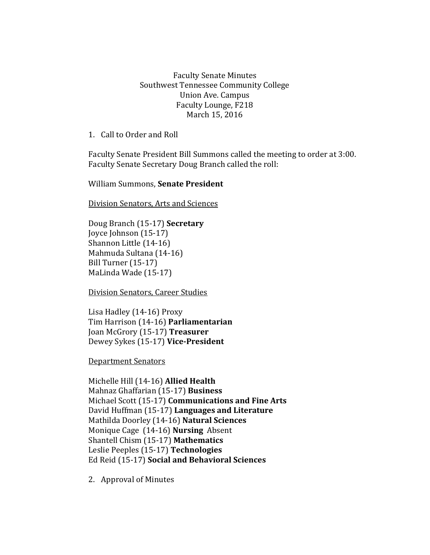Faculty Senate Minutes Southwest Tennessee Community College Union Ave. Campus Faculty Lounge, F218 March 15, 2016

1. Call to Order and Roll

Faculty Senate President Bill Summons called the meeting to order at 3:00. Faculty Senate Secretary Doug Branch called the roll:

William Summons, **Senate President**

Division Senators, Arts and Sciences

Doug Branch (15-17) **Secretary** Joyce Johnson (15-17) Shannon Little (14-16) Mahmuda Sultana (14-16) Bill Turner (15-17) MaLinda Wade (15-17)

Division Senators, Career Studies

Lisa Hadley (14-16) Proxy Tim Harrison (14-16) **Parliamentarian** Joan McGrory (15-17) **Treasurer** Dewey Sykes (15-17) **Vice-President**

Department Senators

Michelle Hill (14-16) **Allied Health** Mahnaz Ghaffarian (15-17) **Business** Michael Scott (15-17) **Communications and Fine Arts** David Huffman (15-17) **Languages and Literature** Mathilda Doorley (14-16) **Natural Sciences** Monique Cage (14-16) **Nursing** Absent Shantell Chism (15-17) **Mathematics** Leslie Peeples (15-17) **Technologies**  Ed Reid (15-17) **Social and Behavioral Sciences**

2. Approval of Minutes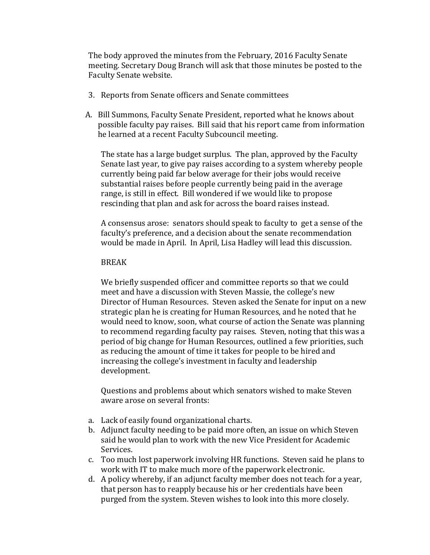The body approved the minutes from the February, 2016 Faculty Senate meeting. Secretary Doug Branch will ask that those minutes be posted to the Faculty Senate website.

- 3. Reports from Senate officers and Senate committees
- A. Bill Summons, Faculty Senate President, reported what he knows about possible faculty pay raises. Bill said that his report came from information he learned at a recent Faculty Subcouncil meeting.

The state has a large budget surplus. The plan, approved by the Faculty Senate last year, to give pay raises according to a system whereby people currently being paid far below average for their jobs would receive substantial raises before people currently being paid in the average range, is still in effect. Bill wondered if we would like to propose rescinding that plan and ask for across the board raises instead.

A consensus arose: senators should speak to faculty to get a sense of the faculty's preference, and a decision about the senate recommendation would be made in April. In April, Lisa Hadley will lead this discussion.

## BREAK

We briefly suspended officer and committee reports so that we could meet and have a discussion with Steven Massie, the college's new Director of Human Resources. Steven asked the Senate for input on a new strategic plan he is creating for Human Resources, and he noted that he would need to know, soon, what course of action the Senate was planning to recommend regarding faculty pay raises. Steven, noting that this was a period of big change for Human Resources, outlined a few priorities, such as reducing the amount of time it takes for people to be hired and increasing the college's investment in faculty and leadership development.

Questions and problems about which senators wished to make Steven aware arose on several fronts:

- a. Lack of easily found organizational charts.
- b. Adjunct faculty needing to be paid more often, an issue on which Steven said he would plan to work with the new Vice President for Academic Services.
- c. Too much lost paperwork involving HR functions. Steven said he plans to work with IT to make much more of the paperwork electronic.
- d. A policy whereby, if an adjunct faculty member does not teach for a year, that person has to reapply because his or her credentials have been purged from the system. Steven wishes to look into this more closely.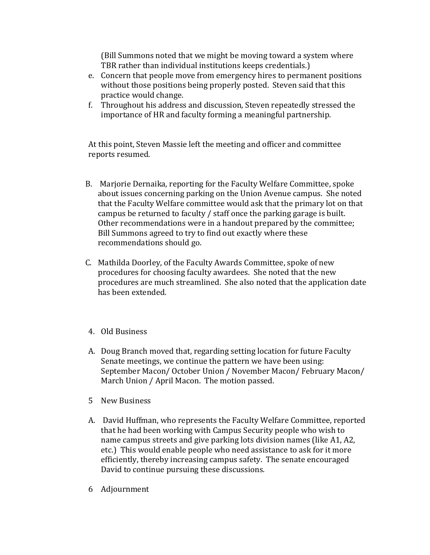(Bill Summons noted that we might be moving toward a system where TBR rather than individual institutions keeps credentials.)

- e. Concern that people move from emergency hires to permanent positions without those positions being properly posted. Steven said that this practice would change.
- f. Throughout his address and discussion, Steven repeatedly stressed the importance of HR and faculty forming a meaningful partnership.

At this point, Steven Massie left the meeting and officer and committee reports resumed.

- B. Marjorie Dernaika, reporting for the Faculty Welfare Committee, spoke about issues concerning parking on the Union Avenue campus. She noted that the Faculty Welfare committee would ask that the primary lot on that campus be returned to faculty / staff once the parking garage is built. Other recommendations were in a handout prepared by the committee; Bill Summons agreed to try to find out exactly where these recommendations should go.
- C. Mathilda Doorley, of the Faculty Awards Committee, spoke of new procedures for choosing faculty awardees. She noted that the new procedures are much streamlined. She also noted that the application date has been extended.
- 4. Old Business
- A. Doug Branch moved that, regarding setting location for future Faculty Senate meetings, we continue the pattern we have been using: September Macon/ October Union / November Macon/ February Macon/ March Union / April Macon. The motion passed.
- 5 New Business
- A. David Huffman, who represents the Faculty Welfare Committee, reported that he had been working with Campus Security people who wish to name campus streets and give parking lots division names (like A1, A2, etc.) This would enable people who need assistance to ask for it more efficiently, thereby increasing campus safety. The senate encouraged David to continue pursuing these discussions.
- 6 Adjournment